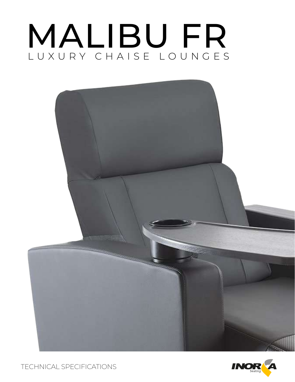# MALIBU FR LUXURY CHAISE LOUNGES





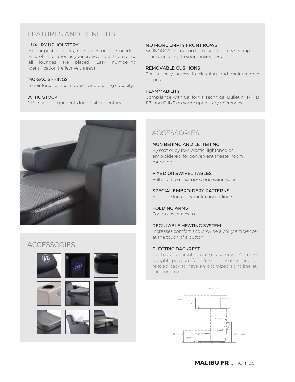# FEATURES AND BENEFITS

#### LUXURY UPHOLSTERY

Exchangeable covers, no staples or glue needed. Ease of installation as your crew can put them once all lounges are placed. Easy numbering identification (reflective thread)

#### NO-SAG SPRINGS

to reinforce lumbar support and bearing capacity.

#### ATTIC STOCK

2% critical components for on-site inventory



#### NO MORE EMPTY FRONT ROWS

An INORCA innovation to make front row seating more appealing to your moviegoers

#### REMOVABLE CUSHIONS

For an easy access in cleaning and maintenance purposes

#### FLAMMABILITY

mapping

Compliance with California Technical Bulletin 117 (TB 117) and Crib 5 on some upholstery references

# **ACCESSORIES**

NUMBERING AND LETTERING By seat or by row, plastic, lightened or embroidered, for convenient theater room

#### FIXED OR SWIVEL TABLES

Full sized to maximize concession sales

SPECIAL EMBROIDERY PATTERNS

A unique look for your luxury recliners

#### FOLDING ARMS For an easier access

#### REGULABLE HEATING SYSTEM

Increases comfort and provide a chilly ambience at the touch of a button

#### ELECTRIC BACKREST

To have different seating postures. A more upright position for Dine-in Theatres and a relaxed back to have an optimized sight line at the front row



# **ACCESSORIES**

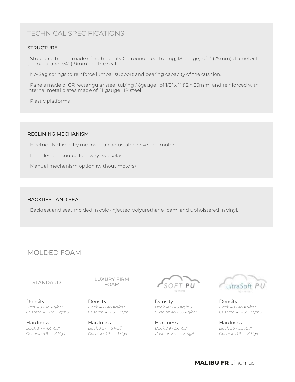# TECHNICAL SPECIFICATIONS

#### **STRUCTURE**

• Structural frame made of high quality CR round steel tubing, 18 gauge, of 1" (25mm) diameter for the back, and 3/4" (19mm) fot the seat.

• No-Sag springs to reinforce lumbar support and bearing capacity of the cushion.

• Panels made of CR rectangular steel tubing ,16gauge , of 1/2" x 1" (12 x 25mm) and reinforced with internal metal plates made of 11 gauge HR steel

• Plastic platforms

#### RECLINING MECHANISM

- Electrically driven by means of an adjustable envelope motor.
- Includes one source for every two sofas.
- Manual mechanism option (without motors)

#### BACKREST AND SEAT

• Backrest and seat molded in cold-injected polyurethane foam, and upholstered in vinyl.

## MOLDED FOAM

STANDARD LUXURY FIRM FOAM

Density *Back 40 - 45 Kg/m3 Cushion 45 - 50 Kg/m3*

**Hardness** *Back 3.4 - 4.4 Kg/f Cushion 3.9 - 4.3 Kg/f*

Density *Back 40 - 45 Kg/m3 Cushion 45 - 50 Kg/m3*

Hardness *Back 3.6 - 4.6 Kg/f Cushion 3.9 - 4.9 Kg/f*



Density *Back 40 - 45 Kg/m3 Cushion 45 - 50 Kg/m3*

Hardness *Back 2.9 - 3.6 Kg/f Cushion 3.9 - 4.3 Kg/f*



Density *Back 40 - 45 Kg/m3 Cushion 45 - 50 Kg/m3*

Hardness *Back 2.5 - 3.5 Kg/f Cushion 3.9 - 4.3 Kg/f*